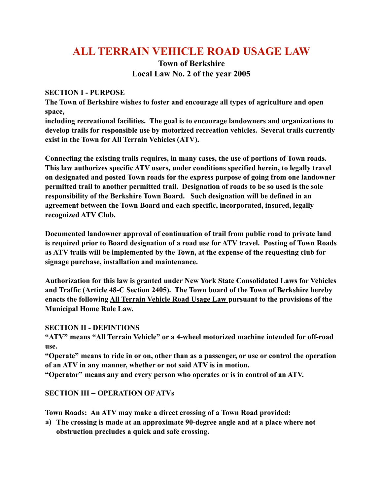# **ALL TERRAIN VEHICLE ROAD USAGE LAW**

## **Town of Berkshire Local Law No. 2 of the year 2005**

### **SECTION I - PURPOSE**

**The Town of Berkshire wishes to foster and encourage all types of agriculture and open space,** 

**including recreational facilities. The goal is to encourage landowners and organizations to develop trails for responsible use by motorized recreation vehicles. Several trails currently exist in the Town for All Terrain Vehicles (ATV).** 

**Connecting the existing trails requires, in many cases, the use of portions of Town roads. This law authorizes specific ATV users, under conditions specified herein, to legally travel on designated and posted Town roads for the express purpose of going from one landowner permitted trail to another permitted trail. Designation of roads to be so used is the sole responsibility of the Berkshire Town Board. Such designation will be defined in an agreement between the Town Board and each specific, incorporated, insured, legally recognized ATV Club.** 

**Documented landowner approval of continuation of trail from public road to private land is required prior to Board designation of a road use for ATV travel. Posting of Town Roads as ATV trails will be implemented by the Town, at the expense of the requesting club for signage purchase, installation and maintenance.** 

**Authorization for this law is granted under New York State Consolidated Laws for Vehicles and Traffic (Article 48-C Section 2405). The Town board of the Town of Berkshire hereby enacts the following All Terrain Vehicle Road Usage Law pursuant to the provisions of the Municipal Home Rule Law.** 

#### **SECTION II - DEFINTIONS**

**"ATV" means "All Terrain Vehicle" or a 4-wheel motorized machine intended for off-road use.** 

**"Operate" means to ride in or on, other than as a passenger, or use or control the operation of an ATV in any manner, whether or not said ATV is in motion.** 

**"Operator" means any and every person who operates or is in control of an ATV.**

## **SECTION III – OPERATION OF ATVs**

**Town Roads: An ATV may make a direct crossing of a Town Road provided:** 

**a) The crossing is made at an approximate 90-degree angle and at a place where not obstruction precludes a quick and safe crossing.**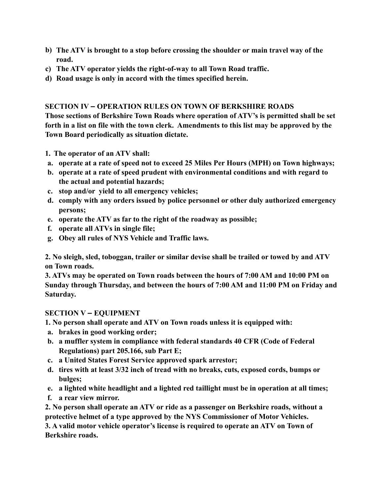- **b) The ATV is brought to a stop before crossing the shoulder or main travel way of the road.**
- **c) The ATV operator yields the right-of-way to all Town Road traffic.**
- **d) Road usage is only in accord with the times specified herein.**

#### **SECTION IV – OPERATION RULES ON TOWN OF BERKSHIRE ROADS**

**Those sections of Berkshire Town Roads where operation of ATV's is permitted shall be set forth in a list on file with the town clerk. Amendments to this list may be approved by the Town Board periodically as situation dictate.** 

- **1. The operator of an ATV shall:**
- **a. operate at a rate of speed not to exceed 25 Miles Per Hours (MPH) on Town highways;**
- **b. operate at a rate of speed prudent with environmental conditions and with regard to the actual and potential hazards;**
- **c. stop and/or yield to all emergency vehicles;**
- **d. comply with any orders issued by police personnel or other duly authorized emergency persons;**
- **e. operate the ATV as far to the right of the roadway as possible;**
- **f. operate all ATVs in single file;**
- **g. Obey all rules of NYS Vehicle and Traffic laws.**

**2. No sleigh, sled, toboggan, trailer or similar devise shall be trailed or towed by and ATV on Town roads.**

**3. ATVs may be operated on Town roads between the hours of 7:00 AM and 10:00 PM on Sunday through Thursday, and between the hours of 7:00 AM and 11:00 PM on Friday and Saturday.** 

#### **SECTION V – EQUIPMENT**

**1. No person shall operate and ATV on Town roads unless it is equipped with:** 

- **a. brakes in good working order;**
- **b. a muffler system in compliance with federal standards 40 CFR (Code of Federal Regulations) part 205.166, sub Part E;**
- **c. a United States Forest Service approved spark arrestor;**
- **d. tires with at least 3/32 inch of tread with no breaks, cuts, exposed cords, bumps or bulges;**
- **e. a lighted white headlight and a lighted red taillight must be in operation at all times;**
- **f. a rear view mirror.**

**2. No person shall operate an ATV or ride as a passenger on Berkshire roads, without a protective helmet of a type approved by the NYS Commissioner of Motor Vehicles.** 

**3. A valid motor vehicle operator's license is required to operate an ATV on Town of Berkshire roads.**